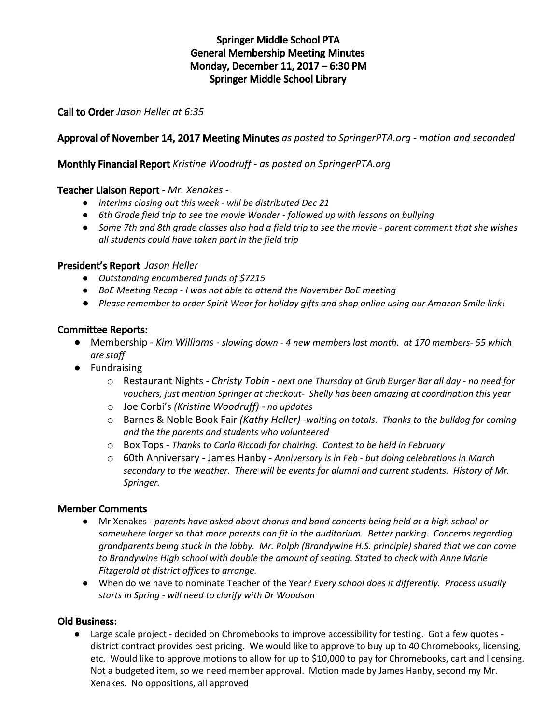# Springer Middle School PTA General Membership Meeting Minutes Monday, December 11, 2017 – 6:30 PM Springer Middle School Library

Call to Order *Jason Heller at 6:35*

# Approval of November 14, 2017 Meeting Minutes *as posted to SpringerPTA.org - motion and seconded*

### Monthly Financial Report *Kristine Woodruff - as posted on SpringerPTA.org*

### Teacher Liaison Report *- Mr. Xenakes -*

- *● interims closing out this week - will be distributed Dec 21*
- *● 6th Grade field trip to see the movie Wonder - followed up with lessons on bullying*
- Some 7th and 8th grade classes also had a field trip to see the movie parent comment that she wishes *all students could have taken part in the field trip*

### President's Report *Jason Heller*

- *● Outstanding encumbered funds of \$7215*
- *● BoE Meeting Recap - I was not able to attend the November BoE meeting*
- Please remember to order Spirit Wear for holiday gifts and shop online using our Amazon Smile link!

### Committee Reports:

- Membership *- Kim Williams - slowing down - 4 new members last month. at 170 members- 55 which are staff*
- Fundraising
	- o Restaurant Nights *- Christy Tobin - next one Thursday at Grub Burger Bar all day - no need for vouchers, just mention Springer at checkout- Shelly has been amazing at coordination this year*
	- o Joe Corbi's *(Kristine Woodruff) - no updates*
	- o Barnes & Noble Book Fair *(Kathy Heller) -waiting on totals. Thanks to the bulldog for coming and the the parents and students who volunteered*
	- o Box Tops *Thanks to Carla Riccadi for chairing. Contest to be held in February*
	- o 60th Anniversary James Hanby *Anniversary is in Feb - but doing celebrations in March secondary to the weather. There will be events for alumni and current students. History of Mr. Springer.*

### Member Comments

- Mr Xenakes *parents have asked about chorus and band concerts being held at a high school or somewhere larger so that more parents can fit in the auditorium. Better parking. Concerns regarding grandparents being stuck in the lobby. Mr. Rolph (Brandywine H.S. principle) shared that we can come to Brandywine HIgh school with double the amount of seating. Stated to check with Anne Marie Fitzgerald at district offices to arrange.*
- When do we have to nominate Teacher of the Year? *Every school does it differently. Process usually starts in Spring - will need to clarify with Dr Woodson*

### Old Business:

● Large scale project - decided on Chromebooks to improve accessibility for testing. Got a few quotes district contract provides best pricing. We would like to approve to buy up to 40 Chromebooks, licensing, etc. Would like to approve motions to allow for up to \$10,000 to pay for Chromebooks, cart and licensing. Not a budgeted item, so we need member approval. Motion made by James Hanby, second my Mr. Xenakes. No oppositions, all approved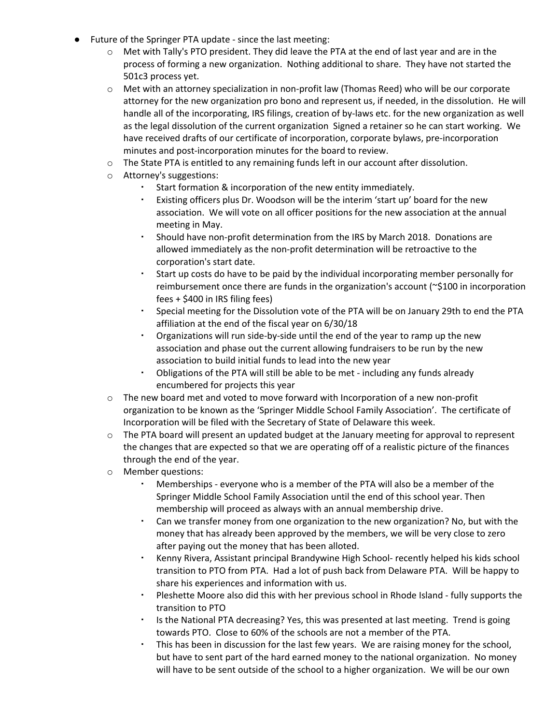- Future of the Springer PTA update since the last meeting:
	- $\circ$  Met with Tally's PTO president. They did leave the PTA at the end of last year and are in the process of forming a new organization. Nothing additional to share. They have not started the 501c3 process yet.
	- $\circ$  Met with an attorney specialization in non-profit law (Thomas Reed) who will be our corporate attorney for the new organization pro bono and represent us, if needed, in the dissolution. He will handle all of the incorporating, IRS filings, creation of by-laws etc. for the new organization as well as the legal dissolution of the current organization Signed a retainer so he can start working. We have received drafts of our certificate of incorporation, corporate bylaws, pre-incorporation minutes and post-incorporation minutes for the board to review.
	- o The State PTA is entitled to any remaining funds left in our account after dissolution.
	- o Attorney's suggestions:
		- Start formation & incorporation of the new entity immediately.
		- Existing officers plus Dr. Woodson will be the interim 'start up' board for the new association. We will vote on all officer positions for the new association at the annual meeting in May.
		- Should have non-profit determination from the IRS by March 2018. Donations are allowed immediately as the non-profit determination will be retroactive to the corporation's start date.
		- Start up costs do have to be paid by the individual incorporating member personally for reimbursement once there are funds in the organization's account (~\$100 in incorporation fees + \$400 in IRS filing fees)
		- Special meeting for the Dissolution vote of the PTA will be on January 29th to end the PTA affiliation at the end of the fiscal year on 6/30/18
		- Organizations will run side-by-side until the end of the year to ramp up the new association and phase out the current allowing fundraisers to be run by the new association to build initial funds to lead into the new year
		- Obligations of the PTA will still be able to be met including any funds already encumbered for projects this year
	- o The new board met and voted to move forward with Incorporation of a new non-profit organization to be known as the 'Springer Middle School Family Association'. The certificate of Incorporation will be filed with the Secretary of State of Delaware this week.
	- o The PTA board will present an updated budget at the January meeting for approval to represent the changes that are expected so that we are operating off of a realistic picture of the finances through the end of the year.
	- o Member questions:
		- Memberships everyone who is a member of the PTA will also be a member of the Springer Middle School Family Association until the end of this school year. Then membership will proceed as always with an annual membership drive.
		- Can we transfer money from one organization to the new organization? No, but with the money that has already been approved by the members, we will be very close to zero after paying out the money that has been alloted.
		- Kenny Rivera, Assistant principal Brandywine High School- recently helped his kids school transition to PTO from PTA. Had a lot of push back from Delaware PTA. Will be happy to share his experiences and information with us.
		- Pleshette Moore also did this with her previous school in Rhode Island fully supports the transition to PTO
		- **Is the National PTA decreasing? Yes, this was presented at last meeting. Trend is going** towards PTO. Close to 60% of the schools are not a member of the PTA.
		- This has been in discussion for the last few years. We are raising money for the school, but have to sent part of the hard earned money to the national organization. No money will have to be sent outside of the school to a higher organization. We will be our own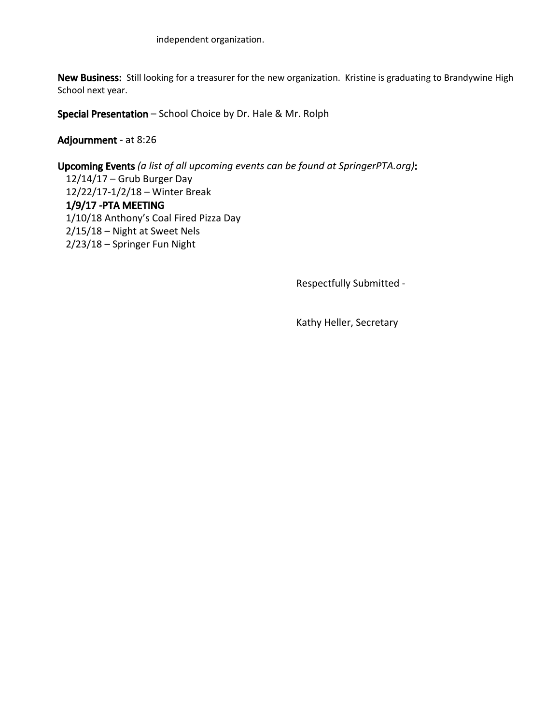New Business: Still looking for a treasurer for the new organization. Kristine is graduating to Brandywine High School next year.

Special Presentation – School Choice by Dr. Hale & Mr. Rolph

Adjournment - at 8:26

Upcoming Events *(a list of all upcoming events can be found at SpringerPTA.org)*: 12/14/17 – Grub Burger Day 12/22/17-1/2/18 – Winter Break 1/9/17 -PTA MEETING 1/10/18 Anthony's Coal Fired Pizza Day 2/15/18 – Night at Sweet Nels 2/23/18 – Springer Fun Night

Respectfully Submitted -

Kathy Heller, Secretary